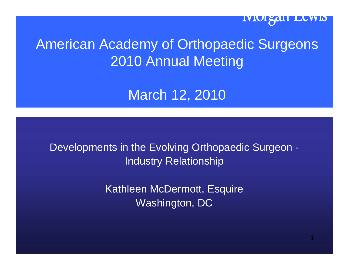

# American Academy of Orthopaedic Surgeons 2010 Annual Meeting

# March 12, 2010

Developments in the Evolving Orthopaedic Surgeon - Industry Relationship

> Kathleen McDermott, Esquire Washington, DC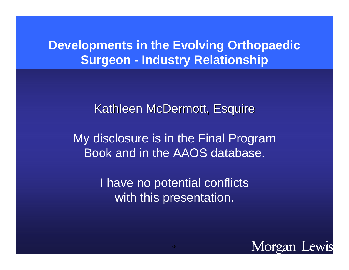#### **Developments in the Evolving Orthopaedic Surgeon - Industry Relationship**

Kathleen McDermott, Esquire

My disclosure is in the Final Program Book and in the AAOS database.

> I have no potential conflicts with this presentation.

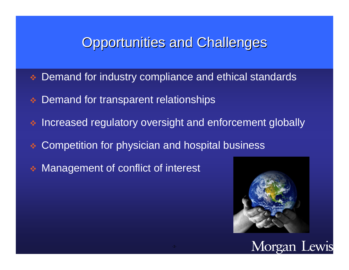# **Opportunities and Challenges**

- $\frac{1}{2}$ Demand for industry compliance and ethical standards
- $\Phi_{\Phi}^{\Phi}$ Demand for transparent relationships
- $\frac{1}{2}$ Increased regulatory oversight and enforcement globally
- $\frac{1}{2}$ Competition for physician and hospital business
- Management of conflict of interest



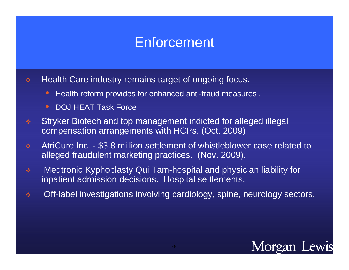# **Enforcement**

- $\Phi_{\mathbf{q}}^{\mathbf{p}}$  Health Care industry remains target of ongoing focus.
	- $\bigcirc$ Health reform provides for enhanced anti-fraud measures .
	- $\bullet$ DOJ HEAT Task Force
- $\frac{\partial}{\partial \phi}$  Stryker Biotech and top management indicted for alleged illegal compensation arrangements with HCPs. (Oct. 2009)
- $\phi_{\alpha}^{\Phi}$  AtriCure Inc. - \$3.8 million settlement of whistleblower case related to alleged fraudulent marketing practices. (Nov. 2009).
- $\frac{\partial}{\partial \phi} \phi$  Medtronic Kyphoplasty Qui Tam-hospital and physician liability for inpatient admission decisions. Hospital settlements.
- $\frac{\partial}{\partial x^{\alpha}}$ Off-label investigations involving cardiology, spine, neurology sectors.

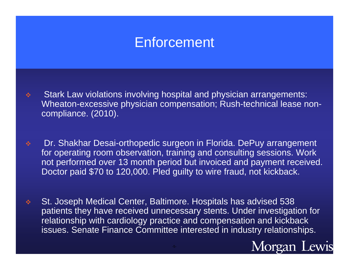# **Enforcement**

- $\frac{\partial}{\partial \phi}$  Stark Law violations involving hospital and physician arrangements: Wheaton-excessive physician compensation; Rush-technical lease noncompliance. (2010).
- $\frac{\partial^2}{\partial x^2}$  Dr. Shakhar Desai-orthopedic surgeon in Florida. DePuy arrangement for operating room observation, training and consulting sessions. Work not performed over 13 month period but invoiced and payment received. Doctor paid \$70 to 120,000. Pled guilty to wire fraud, not kickback.
- $\frac{1}{2}$  St. Joseph Medical Center, Baltimore. Hospitals has advised 538 patients they have received unnecessary stents. Under investigation for relationship with cardiology practice and compensation and kickback issues. Senate Finance Committee interested in industry relationships.

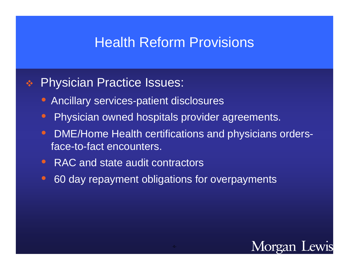## Health Reform Provisions

#### $\frac{1}{2}$ Physician Practice Issues:

- $\bigcirc$ Ancillary services-patient disclosures
- $\bigcirc$ Physician owned hospitals provider agreements.
- $\bullet$  DME/Home Health certifications and physicians ordersface-to-fact encounters.
- RAC and state audit contractors
- $\bigcirc$ 60 day repayment obligations for overpayments

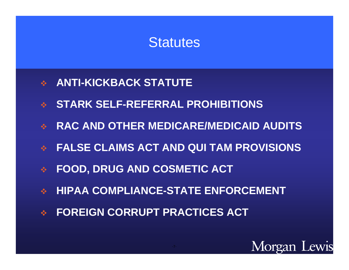## **Statutes**

- **ANTI-KICKBACK STATUTE**
- $\frac{1}{2}$ **STARK SELF-REFERRAL PROHIBITIONS**
- 家 **RAC AND OTHER MEDICARE/MEDICAID AUDITS**
- $\frac{1}{2}$ **FALSE CLAIMS ACT AND QUI TAM PROVISIONS**
- $\frac{1}{2}$ **FOOD, DRUG AND COSMETIC ACT**
- $\frac{\partial}{\partial x^2}$ **HIPAA COMPLIANCE-STATE ENFORCEMENT**
- $\frac{1}{2}$ **FOREIGN CORRUPT PRACTICES ACT**

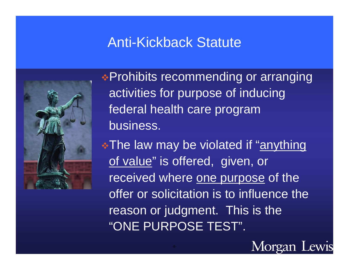# Anti-Kickback Statute



Prohibits recommending or arranging activities for purpose of inducing federal health care program business.

**\*The law may be violated if "anything"** of value" is offered, given, or received where one purpose of the offer or solicitation is to influence the reason or judgment. This is the "ONE PURPOSE TEST".

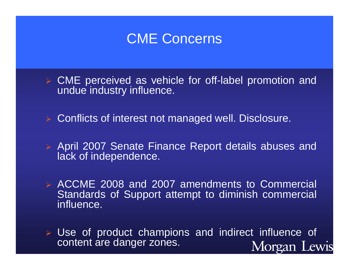

- CME perceived as vehicle for off-label promotion and undue industry influence.
- $\blacktriangleright$ Conflicts of interest not managed well. Disclosure.
- April 2007 Senate Finance Report details abuses and lack of independence.
- ACCME 2008 and 2007 amendments to Commercial Standards of Support attempt to diminish commercial influence.
- Use of product champions and indirect influence of content are danger zones. Morgan Lewis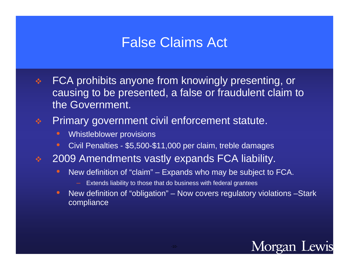# False Claims Act

 $\frac{1}{2}$  FCA prohibits anyone from knowingly presenting, or causing to be presented, a false or fraudulent claim to the Government.

#### $\Phi_{\mathbf{S}}^{\mathbf{P}}$ Primary government civil enforcement statute.

- $\bullet$ Whistleblower provisions
- $\bullet$ Civil Penalties - \$5,500-\$11,000 per claim, treble damages
- $\frac{\partial \mathbf{P}}{\partial \mathbf{A}}$  2009 Amendments vastly expands FCA liability.
	- $\bullet$  New definition of "claim" – Expands who may be subject to FCA.
		- Extends liability to those that do business with federal grantees
	- $\bullet$  New definition of "obligation" – Now covers regulatory violations –Stark compliance

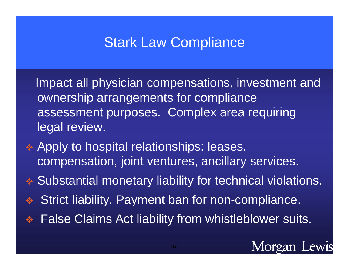# Stark Law Compliance

Impact all physician compensations, investment and ownership arrangements for compliance assessment purposes. Complex area requiring legal review.

- **★ Apply to hospital relationships: leases,** compensation, joint ventures, ancillary services.
- Substantial monetary liability for technical violations.
- $\frac{1}{2}$ Strict liability. Payment ban for non-compliance.
- **AND** False Claims Act liability from whistleblower suits.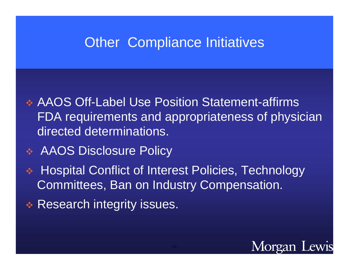# Other Compliance Initiatives

- AAOS Off-Label Use Position Statement-affirms FDA requirements and appropriateness of physician directed determinations.
- AAOS Disclosure Policy
- **REA**  Hospital Conflict of Interest Policies, Technology Committees, Ban on Industry Compensation.
- 参 Research integrity issues.

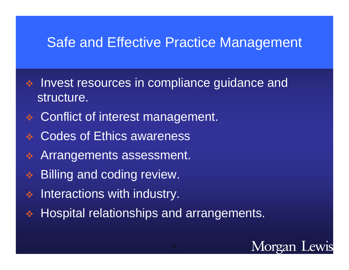## Safe and Effective Practice Management

- $\frac{\partial}{\partial \phi}$  Invest resources in compliance guidance and structure.
- Conflict of interest management.
- $\sqrt{2}$ Codes of Ethics awareness
- **AND** Arrangements assessment.
- Billing and coding review.
- $\begin{picture}(180,10) \put(0,0){\vector(1,0){10}} \put(10,0){\vector(1,0){10}} \put(10,0){\vector(1,0){10}} \put(10,0){\vector(1,0){10}} \put(10,0){\vector(1,0){10}} \put(10,0){\vector(1,0){10}} \put(10,0){\vector(1,0){10}} \put(10,0){\vector(1,0){10}} \put(10,0){\vector(1,0){10}} \put(10,0){\vector(1,0){10}} \put(10,0){\vector(1,0){10}} \put(10,0){\vector($ Interactions with industry.
- 参 Hospital relationships and arrangements.

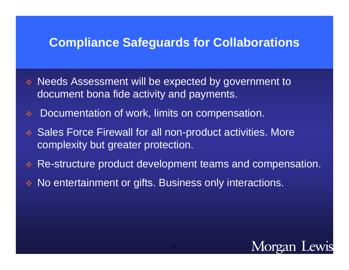#### **Compliance Safeguards for Collaborations**

- Needs Assessment will be expected by government to document bona fide activity and payments.
- $\frac{1}{2}$ Documentation of work, limits on compensation.
- Sales Force Firewall for all non-product activities. More complexity but greater protection.
- Re-structure product development teams and compensation.
- No entertainment or gifts. Business only interactions.